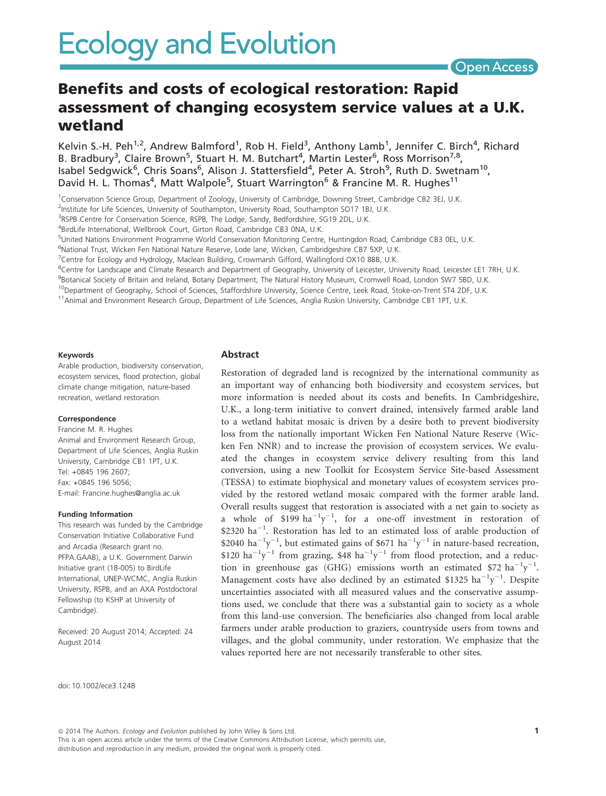

# Benefits and costs of ecological restoration: Rapid assessment of changing ecosystem service values at a U.K. wetland

Kelvin S.-H. Peh<sup>1,2</sup>, Andrew Balmford<sup>1</sup>, Rob H. Field<sup>3</sup>, Anthony Lamb<sup>1</sup>, Jennifer C. Birch<sup>4</sup>, Richard B. Bradbury<sup>3</sup>, Claire Brown<sup>5</sup>, Stuart H. M. Butchart<sup>4</sup>, Martin Lester<sup>6</sup>, Ross Morrison<sup>7,8</sup>, Isabel Sedgwick<sup>6</sup>, Chris Soans<sup>6</sup>, Alison J. Stattersfield<sup>4</sup>, Peter A. Stroh<sup>9</sup>, Ruth D. Swetnam<sup>10</sup>, David H. L. Thomas<sup>4</sup>, Matt Walpole<sup>5</sup>, Stuart Warrington<sup>6</sup> & Francine M. R. Hughes<sup>11</sup>

<sup>1</sup>Conservation Science Group, Department of Zoology, University of Cambridge, Downing Street, Cambridge CB2 3EJ, U.K.

2 Institute for Life Sciences, University of Southampton, University Road, Southampton SO17 1BJ, U.K.

<sup>3</sup>RSPB Centre for Conservation Science, RSPB, The Lodge, Sandy, Bedfordshire, SG19 2DL, U.K.

<sup>4</sup>BirdLife International, Wellbrook Court, Girton Road, Cambridge CB3 0NA, U.K.

5 United Nations Environment Programme World Conservation Monitoring Centre, Huntingdon Road, Cambridge CB3 0EL, U.K.

6 National Trust, Wicken Fen National Nature Reserve, Lode lane, Wicken, Cambridgeshire CB7 5XP, U.K.

7 Centre for Ecology and Hydrology, Maclean Building, Crowmarsh Gifford, Wallingford OX10 8BB, U.K.

<sup>8</sup>Centre for Landscape and Climate Research and Department of Geography, University of Leicester, University Road, Leicester LE1 7RH, U.K.

9 Botanical Society of Britain and Ireland, Botany Department, The Natural History Museum, Cromwell Road, London SW7 5BD, U.K.

<sup>10</sup>Department of Geography, School of Sciences, Staffordshire University, Science Centre, Leek Road, Stoke-on-Trent ST4 2DF, U.K.

<sup>11</sup>Animal and Environment Research Group, Department of Life Sciences, Anglia Ruskin University, Cambridge CB1 1PT, U.K.

#### Keywords

Arable production, biodiversity conservation, ecosystem services, flood protection, global climate change mitigation, nature-based recreation, wetland restoration.

#### Correspondence

Francine M. R. Hughes Animal and Environment Research Group, Department of Life Sciences, Anglia Ruskin University, Cambridge CB1 1PT, U.K. Tel: +0845 196 2607; Fax: +0845 196 5056; E-mail: Francine.hughes@anglia.ac.uk

#### Funding Information

This research was funded by the Cambridge Conservation Initiative Collaborative Fund and Arcadia (Research grant no. PFPA.GAAB), a U.K. Government Darwin Initiative grant (18-005) to BirdLife International, UNEP-WCMC, Anglia Ruskin University, RSPB, and an AXA Postdoctoral Fellowship (to KSHP at University of Cambridge).

Received: 20 August 2014; Accepted: 24 August 2014

### Abstract

Restoration of degraded land is recognized by the international community as an important way of enhancing both biodiversity and ecosystem services, but more information is needed about its costs and benefits. In Cambridgeshire, U.K., a long-term initiative to convert drained, intensively farmed arable land to a wetland habitat mosaic is driven by a desire both to prevent biodiversity loss from the nationally important Wicken Fen National Nature Reserve (Wicken Fen NNR) and to increase the provision of ecosystem services. We evaluated the changes in ecosystem service delivery resulting from this land conversion, using a new Toolkit for Ecosystem Service Site-based Assessment (TESSA) to estimate biophysical and monetary values of ecosystem services provided by the restored wetland mosaic compared with the former arable land. Overall results suggest that restoration is associated with a net gain to society as a whole of \$199 ha<sup>-1</sup>y<sup>-1</sup>, for a one-off investment in restoration of  $$2320$  ha<sup>-1</sup>. Restoration has led to an estimated loss of arable production of  $$2040$  ha<sup>-1</sup>y<sup>-1</sup>, but estimated gains of  $$671$  ha<sup>-1</sup>y<sup>-1</sup> in nature-based recreation, \$120 ha<sup>-1</sup>y<sup>-1</sup> from grazing, \$48 ha<sup>-1</sup>y<sup>-1</sup> from flood protection, and a reduction in greenhouse gas (GHG) emissions worth an estimated \$72 ha<sup>-1</sup>y<sup>-1</sup>. Management costs have also declined by an estimated \$1325 ha<sup>-1</sup>y<sup>-1</sup>. Despite uncertainties associated with all measured values and the conservative assumptions used, we conclude that there was a substantial gain to society as a whole from this land-use conversion. The beneficiaries also changed from local arable farmers under arable production to graziers, countryside users from towns and villages, and the global community, under restoration. We emphasize that the values reported here are not necessarily transferable to other sites.

doi: 10.1002/ece3.1248

ª 2014 The Authors. Ecology and Evolution published by John Wiley & Sons Ltd.

This is an open access article under the terms of the Creative Commons Attribution License, which permits use, distribution and reproduction in any medium, provided the original work is properly cited.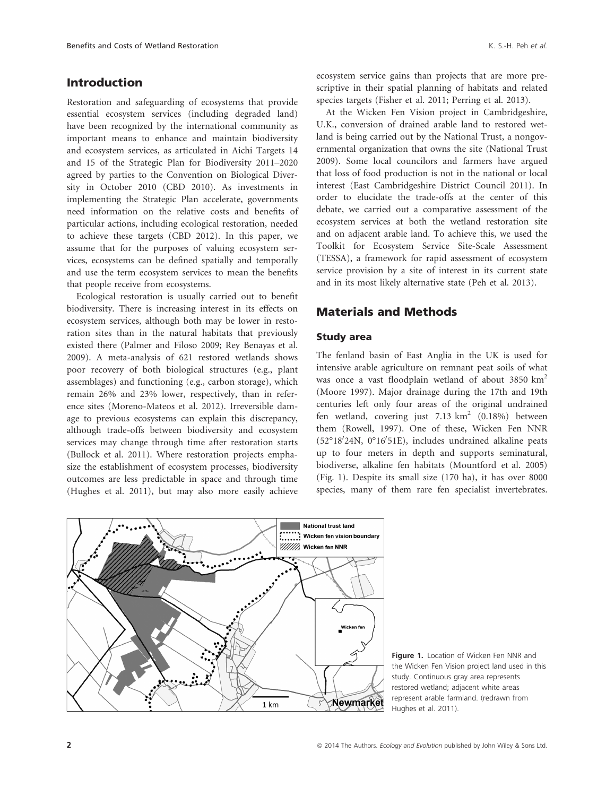## Introduction

Restoration and safeguarding of ecosystems that provide essential ecosystem services (including degraded land) have been recognized by the international community as important means to enhance and maintain biodiversity and ecosystem services, as articulated in Aichi Targets 14 and 15 of the Strategic Plan for Biodiversity 2011–2020 agreed by parties to the Convention on Biological Diversity in October 2010 (CBD 2010). As investments in implementing the Strategic Plan accelerate, governments need information on the relative costs and benefits of particular actions, including ecological restoration, needed to achieve these targets (CBD 2012). In this paper, we assume that for the purposes of valuing ecosystem services, ecosystems can be defined spatially and temporally and use the term ecosystem services to mean the benefits that people receive from ecosystems.

Ecological restoration is usually carried out to benefit biodiversity. There is increasing interest in its effects on ecosystem services, although both may be lower in restoration sites than in the natural habitats that previously existed there (Palmer and Filoso 2009; Rey Benayas et al. 2009). A meta-analysis of 621 restored wetlands shows poor recovery of both biological structures (e.g., plant assemblages) and functioning (e.g., carbon storage), which remain 26% and 23% lower, respectively, than in reference sites (Moreno-Mateos et al. 2012). Irreversible damage to previous ecosystems can explain this discrepancy, although trade-offs between biodiversity and ecosystem services may change through time after restoration starts (Bullock et al. 2011). Where restoration projects emphasize the establishment of ecosystem processes, biodiversity outcomes are less predictable in space and through time (Hughes et al. 2011), but may also more easily achieve

ecosystem service gains than projects that are more prescriptive in their spatial planning of habitats and related species targets (Fisher et al. 2011; Perring et al. 2013).

At the Wicken Fen Vision project in Cambridgeshire, U.K., conversion of drained arable land to restored wetland is being carried out by the National Trust, a nongovernmental organization that owns the site (National Trust 2009). Some local councilors and farmers have argued that loss of food production is not in the national or local interest (East Cambridgeshire District Council 2011). In order to elucidate the trade-offs at the center of this debate, we carried out a comparative assessment of the ecosystem services at both the wetland restoration site and on adjacent arable land. To achieve this, we used the Toolkit for Ecosystem Service Site-Scale Assessment (TESSA), a framework for rapid assessment of ecosystem service provision by a site of interest in its current state and in its most likely alternative state (Peh et al. 2013).

# Materials and Methods

### Study area

The fenland basin of East Anglia in the UK is used for intensive arable agriculture on remnant peat soils of what was once a vast floodplain wetland of about 3850 km<sup>2</sup> (Moore 1997). Major drainage during the 17th and 19th centuries left only four areas of the original undrained fen wetland, covering just  $7.13 \text{ km}^2$  (0.18%) between them (Rowell, 1997). One of these, Wicken Fen NNR (52°18'24N, 0°16'51E), includes undrained alkaline peats up to four meters in depth and supports seminatural, biodiverse, alkaline fen habitats (Mountford et al. 2005) (Fig. 1). Despite its small size (170 ha), it has over 8000 species, many of them rare fen specialist invertebrates.



Figure 1. Location of Wicken Fen NNR and the Wicken Fen Vision project land used in this study. Continuous gray area represents restored wetland; adjacent white areas represent arable farmland. (redrawn from Hughes et al. 2011).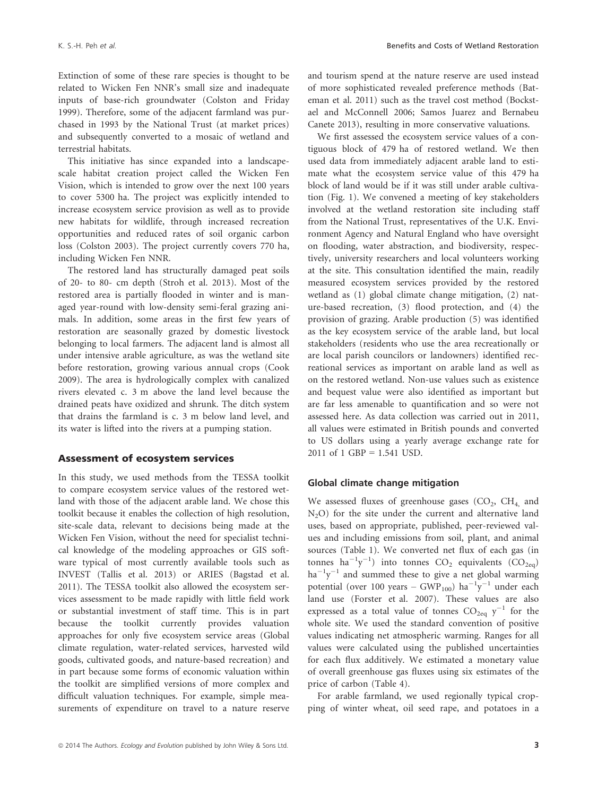K. S.-H. Peh et al. Benefits and Costs of Wetland Restoration

Extinction of some of these rare species is thought to be related to Wicken Fen NNR's small size and inadequate inputs of base-rich groundwater (Colston and Friday 1999). Therefore, some of the adjacent farmland was purchased in 1993 by the National Trust (at market prices) and subsequently converted to a mosaic of wetland and terrestrial habitats.

This initiative has since expanded into a landscapescale habitat creation project called the Wicken Fen Vision, which is intended to grow over the next 100 years to cover 5300 ha. The project was explicitly intended to increase ecosystem service provision as well as to provide new habitats for wildlife, through increased recreation opportunities and reduced rates of soil organic carbon loss (Colston 2003). The project currently covers 770 ha, including Wicken Fen NNR.

The restored land has structurally damaged peat soils of 20- to 80- cm depth (Stroh et al. 2013). Most of the restored area is partially flooded in winter and is managed year-round with low-density semi-feral grazing animals. In addition, some areas in the first few years of restoration are seasonally grazed by domestic livestock belonging to local farmers. The adjacent land is almost all under intensive arable agriculture, as was the wetland site before restoration, growing various annual crops (Cook 2009). The area is hydrologically complex with canalized rivers elevated c. 3 m above the land level because the drained peats have oxidized and shrunk. The ditch system that drains the farmland is c. 3 m below land level, and its water is lifted into the rivers at a pumping station.

### Assessment of ecosystem services

In this study, we used methods from the TESSA toolkit to compare ecosystem service values of the restored wetland with those of the adjacent arable land. We chose this toolkit because it enables the collection of high resolution, site-scale data, relevant to decisions being made at the Wicken Fen Vision, without the need for specialist technical knowledge of the modeling approaches or GIS software typical of most currently available tools such as INVEST (Tallis et al. 2013) or ARIES (Bagstad et al. 2011). The TESSA toolkit also allowed the ecosystem services assessment to be made rapidly with little field work or substantial investment of staff time. This is in part because the toolkit currently provides valuation approaches for only five ecosystem service areas (Global climate regulation, water-related services, harvested wild goods, cultivated goods, and nature-based recreation) and in part because some forms of economic valuation within the toolkit are simplified versions of more complex and difficult valuation techniques. For example, simple measurements of expenditure on travel to a nature reserve and tourism spend at the nature reserve are used instead of more sophisticated revealed preference methods (Bateman et al. 2011) such as the travel cost method (Bockstael and McConnell 2006; Samos Juarez and Bernabeu Canete 2013), resulting in more conservative valuations.

We first assessed the ecosystem service values of a contiguous block of 479 ha of restored wetland. We then used data from immediately adjacent arable land to estimate what the ecosystem service value of this 479 ha block of land would be if it was still under arable cultivation (Fig. 1). We convened a meeting of key stakeholders involved at the wetland restoration site including staff from the National Trust, representatives of the U.K. Environment Agency and Natural England who have oversight on flooding, water abstraction, and biodiversity, respectively, university researchers and local volunteers working at the site. This consultation identified the main, readily measured ecosystem services provided by the restored wetland as (1) global climate change mitigation, (2) nature-based recreation, (3) flood protection, and (4) the provision of grazing. Arable production (5) was identified as the key ecosystem service of the arable land, but local stakeholders (residents who use the area recreationally or are local parish councilors or landowners) identified recreational services as important on arable land as well as on the restored wetland. Non-use values such as existence and bequest value were also identified as important but are far less amenable to quantification and so were not assessed here. As data collection was carried out in 2011, all values were estimated in British pounds and converted to US dollars using a yearly average exchange rate for 2011 of 1 GBP = 1.541 USD.

### Global climate change mitigation

We assessed fluxes of greenhouse gases  $(CO<sub>2</sub>, CH<sub>4</sub>, and$  $N_2$ O) for the site under the current and alternative land uses, based on appropriate, published, peer-reviewed values and including emissions from soil, plant, and animal sources (Table 1). We converted net flux of each gas (in tonnes  $ha^{-1}y^{-1}$ ) into tonnes  $CO_2$  equivalents  $(CO_{2eq})$  $ha^{-1}y^{-1}$  and summed these to give a net global warming potential (over 100 years –  $\text{GWP}_{100}$ ) ha $^{-1}\text{y}^{-1}$  under each land use (Forster et al. 2007). These values are also expressed as a total value of tonnes  $CO_{2eq}$  y<sup>-1</sup> for the whole site. We used the standard convention of positive values indicating net atmospheric warming. Ranges for all values were calculated using the published uncertainties for each flux additively. We estimated a monetary value of overall greenhouse gas fluxes using six estimates of the price of carbon (Table 4).

For arable farmland, we used regionally typical cropping of winter wheat, oil seed rape, and potatoes in a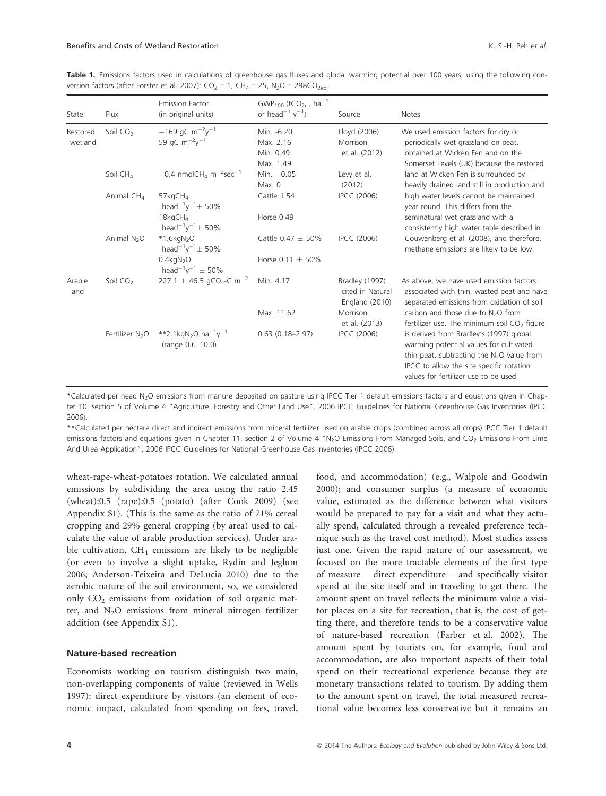Table 1. Emissions factors used in calculations of greenhouse gas fluxes and global warming potential over 100 years, using the following conversion factors (after Forster et al. 2007):  $CO_2 = 1$ ,  $CH_4 = 25$ ,  $N_2O = 298CO_{2eq}$ .

| State               | Flux                        | <b>Emission Factor</b><br>(in original units)                                     | GWP <sub>100</sub> (tCO <sub>2eq</sub> ha <sup>-1</sup><br>or head <sup>-1</sup> $y^{-1}$ ) | Source                                               | <b>Notes</b>                                                                                                                                                                                                           |  |  |
|---------------------|-----------------------------|-----------------------------------------------------------------------------------|---------------------------------------------------------------------------------------------|------------------------------------------------------|------------------------------------------------------------------------------------------------------------------------------------------------------------------------------------------------------------------------|--|--|
| Restored<br>wetland | Soil CO <sub>2</sub>        | $-169$ gC m <sup>-2</sup> y <sup>-1</sup><br>59 qC $m^{-2}y^{-1}$                 | Min. -6.20<br>Max. 2.16<br>Min. 0.49<br>Max. 1.49                                           | Lloyd (2006)<br>Morrison<br>et al. (2012)            | We used emission factors for dry or<br>periodically wet grassland on peat,<br>obtained at Wicken Fen and on the<br>Somerset Levels (UK) because the restored                                                           |  |  |
|                     | Soil CH <sub>4</sub>        | $-0.4$ nmolCH <sub>4</sub> m <sup>-2</sup> sec <sup>-1</sup>                      | Min. $-0.05$<br>Max. 0                                                                      | Levy et al.<br>(2012)                                | land at Wicken Fen is surrounded by<br>heavily drained land still in production and                                                                                                                                    |  |  |
|                     | Animal CH <sub>4</sub>      | 57 $kgCH4$<br>head <sup>-1</sup> y <sup>-1</sup> $\pm$ 50%                        | Cattle 1.54                                                                                 | <b>IPCC (2006)</b>                                   | high water levels cannot be maintained<br>year round. This differs from the                                                                                                                                            |  |  |
|                     |                             | 18kgCH <sub>4</sub><br>head <sup>-1</sup> y <sup>-1</sup> $\pm$ 50%               | Horse 0.49                                                                                  |                                                      | seminatural wet grassland with a<br>consistently high water table described in                                                                                                                                         |  |  |
|                     | Animal $N2O$                | $*1.6kgN2O$<br>head <sup>-1</sup> y <sup>-1</sup> $\pm$ 50%                       | Cattle 0.47 $\pm$ 50%                                                                       | <b>IPCC (2006)</b>                                   | Couwenberg et al. (2008), and therefore,<br>methane emissions are likely to be low.                                                                                                                                    |  |  |
|                     |                             | $0.4$ ka $N2O$<br>head <sup>-1</sup> y <sup>-1</sup> $\pm$ 50%                    | Horse $0.11 \pm 50\%$                                                                       |                                                      |                                                                                                                                                                                                                        |  |  |
| Arable<br>land      | Soil CO <sub>2</sub>        | 227.1 $\pm$ 46.5 gCO <sub>2</sub> -C m <sup>-2</sup>                              | Min. 4.17                                                                                   | Bradley (1997)<br>cited in Natural<br>England (2010) | As above, we have used emission factors<br>associated with thin, wasted peat and have<br>separated emissions from oxidation of soil                                                                                    |  |  |
|                     |                             |                                                                                   | Max. 11.62                                                                                  | Morrison<br>et al. (2013)                            | carbon and those due to $N_2O$ from<br>fertilizer use. The minimum soil $CO2$ figure                                                                                                                                   |  |  |
|                     | Fertilizer N <sub>2</sub> O | **2.1kgN <sub>2</sub> O ha <sup>-1</sup> y <sup>-1</sup><br>(range $0.6 - 10.0$ ) | $0.63(0.18 - 2.97)$                                                                         | <b>IPCC (2006)</b>                                   | is derived from Bradley's (1997) global<br>warming potential values for cultivated<br>thin peat, subtracting the $N2O$ value from<br>IPCC to allow the site specific rotation<br>values for fertilizer use to be used. |  |  |

\*Calculated per head N2O emissions from manure deposited on pasture using IPCC Tier 1 default emissions factors and equations given in Chapter 10, section 5 of Volume 4 "Agriculture, Forestry and Other Land Use", 2006 IPCC Guidelines for National Greenhouse Gas Inventories (IPCC 2006).

\*\*Calculated per hectare direct and indirect emissions from mineral fertilizer used on arable crops (combined across all crops) IPCC Tier 1 default emissions factors and equations given in Chapter 11, section 2 of Volume 4 "N<sub>2</sub>O Emissions From Managed Soils, and CO<sub>2</sub> Emissions From Lime And Urea Application", 2006 IPCC Guidelines for National Greenhouse Gas Inventories (IPCC 2006).

wheat-rape-wheat-potatoes rotation. We calculated annual emissions by subdividing the area using the ratio 2.45 (wheat):0.5 (rape):0.5 (potato) (after Cook 2009) (see Appendix S1). (This is the same as the ratio of 71% cereal cropping and 29% general cropping (by area) used to calculate the value of arable production services). Under arable cultivation,  $CH_4$  emissions are likely to be negligible (or even to involve a slight uptake, Rydin and Jeglum 2006; Anderson-Teixeira and DeLucia 2010) due to the aerobic nature of the soil environment, so, we considered only  $CO<sub>2</sub>$  emissions from oxidation of soil organic matter, and  $N_2O$  emissions from mineral nitrogen fertilizer addition (see Appendix S1).

### Nature-based recreation

Economists working on tourism distinguish two main, non-overlapping components of value (reviewed in Wells 1997): direct expenditure by visitors (an element of economic impact, calculated from spending on fees, travel,

food, and accommodation) (e.g., Walpole and Goodwin 2000); and consumer surplus (a measure of economic value, estimated as the difference between what visitors would be prepared to pay for a visit and what they actually spend, calculated through a revealed preference technique such as the travel cost method). Most studies assess just one. Given the rapid nature of our assessment, we focused on the more tractable elements of the first type of measure – direct expenditure – and specifically visitor spend at the site itself and in traveling to get there. The amount spent on travel reflects the minimum value a visitor places on a site for recreation, that is, the cost of getting there, and therefore tends to be a conservative value of nature-based recreation (Farber et al. 2002). The amount spent by tourists on, for example, food and accommodation, are also important aspects of their total spend on their recreational experience because they are monetary transactions related to tourism. By adding them to the amount spent on travel, the total measured recreational value becomes less conservative but it remains an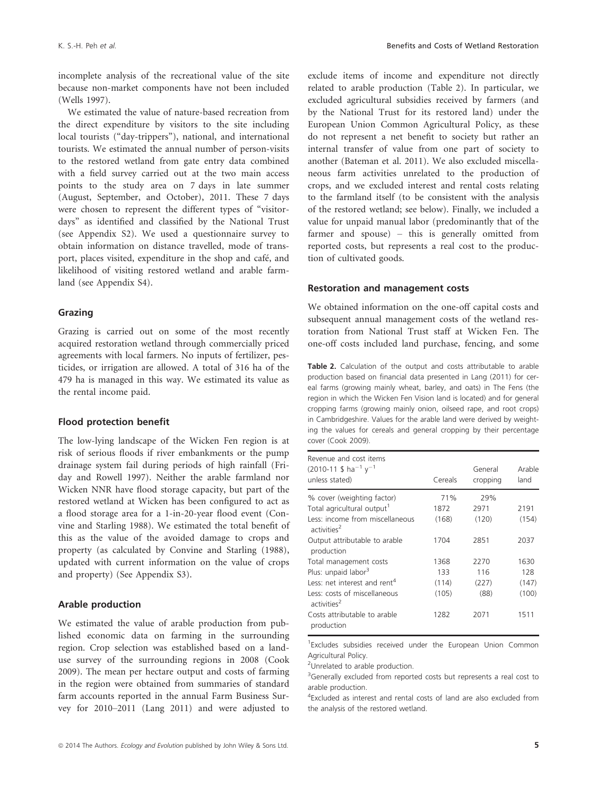incomplete analysis of the recreational value of the site because non-market components have not been included (Wells 1997).

We estimated the value of nature-based recreation from the direct expenditure by visitors to the site including local tourists ("day-trippers"), national, and international tourists. We estimated the annual number of person-visits to the restored wetland from gate entry data combined with a field survey carried out at the two main access points to the study area on 7 days in late summer (August, September, and October), 2011. These 7 days were chosen to represent the different types of "visitordays" as identified and classified by the National Trust (see Appendix S2). We used a questionnaire survey to obtain information on distance travelled, mode of transport, places visited, expenditure in the shop and café, and likelihood of visiting restored wetland and arable farmland (see Appendix S4).

### Grazing

Grazing is carried out on some of the most recently acquired restoration wetland through commercially priced agreements with local farmers. No inputs of fertilizer, pesticides, or irrigation are allowed. A total of 316 ha of the 479 ha is managed in this way. We estimated its value as the rental income paid.

### Flood protection benefit

The low-lying landscape of the Wicken Fen region is at risk of serious floods if river embankments or the pump drainage system fail during periods of high rainfall (Friday and Rowell 1997). Neither the arable farmland nor Wicken NNR have flood storage capacity, but part of the restored wetland at Wicken has been configured to act as a flood storage area for a 1-in-20-year flood event (Convine and Starling 1988). We estimated the total benefit of this as the value of the avoided damage to crops and property (as calculated by Convine and Starling (1988), updated with current information on the value of crops and property) (See Appendix S3).

### Arable production

We estimated the value of arable production from published economic data on farming in the surrounding region. Crop selection was established based on a landuse survey of the surrounding regions in 2008 (Cook 2009). The mean per hectare output and costs of farming in the region were obtained from summaries of standard farm accounts reported in the annual Farm Business Survey for 2010–2011 (Lang 2011) and were adjusted to exclude items of income and expenditure not directly related to arable production (Table 2). In particular, we excluded agricultural subsidies received by farmers (and by the National Trust for its restored land) under the European Union Common Agricultural Policy, as these do not represent a net benefit to society but rather an internal transfer of value from one part of society to another (Bateman et al. 2011). We also excluded miscellaneous farm activities unrelated to the production of crops, and we excluded interest and rental costs relating to the farmland itself (to be consistent with the analysis of the restored wetland; see below). Finally, we included a value for unpaid manual labor (predominantly that of the farmer and spouse) – this is generally omitted from reported costs, but represents a real cost to the production of cultivated goods.

### Restoration and management costs

We obtained information on the one-off capital costs and subsequent annual management costs of the wetland restoration from National Trust staff at Wicken Fen. The one-off costs included land purchase, fencing, and some

Table 2. Calculation of the output and costs attributable to arable production based on financial data presented in Lang (2011) for cereal farms (growing mainly wheat, barley, and oats) in The Fens (the region in which the Wicken Fen Vision land is located) and for general cropping farms (growing mainly onion, oilseed rape, and root crops) in Cambridgeshire. Values for the arable land were derived by weighting the values for cereals and general cropping by their percentage cover (Cook 2009).

| Revenue and cost items<br>$(2010-11 \text{ } \frac{1}{2} \text{ ha}^{-1} \text{ v}^{-1}$<br>unless stated) | Cereals | General<br>cropping | Arable<br>land |
|------------------------------------------------------------------------------------------------------------|---------|---------------------|----------------|
| % cover (weighting factor)                                                                                 | 71%     | 29%                 |                |
| Total agricultural output <sup>1</sup>                                                                     | 1872    | 2971                | 2191           |
| Less: income from miscellaneous<br>activities <sup>2</sup>                                                 | (168)   | (120)               | (154)          |
| Output attributable to arable<br>production                                                                | 1704    | 2851                | 2037           |
| Total management costs                                                                                     | 1368    | 2270                | 1630           |
| Plus: unpaid labor <sup>3</sup>                                                                            | 133     | 116                 | 128            |
| Less: net interest and rent <sup>4</sup>                                                                   | (114)   | (227)               | (147)          |
| Less: costs of miscellaneous<br>activities <sup>2</sup>                                                    | (105)   | (88)                | (100)          |
| Costs attributable to arable<br>production                                                                 | 1282    | 2071                | 1511           |

<sup>1</sup>Excludes subsidies received under the European Union Common Agricultural Policy.

<sup>2</sup>Unrelated to arable production.

<sup>3</sup>Generally excluded from reported costs but represents a real cost to arable production.

<sup>4</sup>Excluded as interest and rental costs of land are also excluded from the analysis of the restored wetland.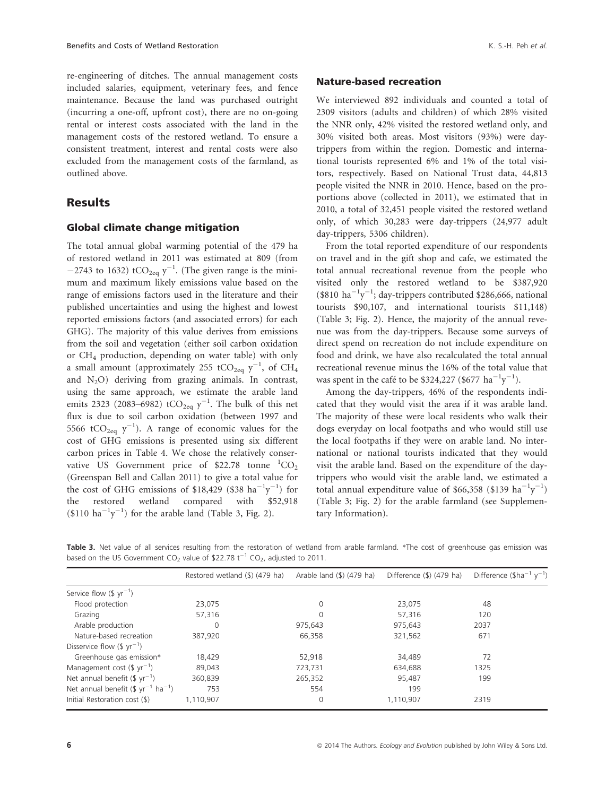re-engineering of ditches. The annual management costs included salaries, equipment, veterinary fees, and fence maintenance. Because the land was purchased outright (incurring a one-off, upfront cost), there are no on-going rental or interest costs associated with the land in the management costs of the restored wetland. To ensure a consistent treatment, interest and rental costs were also excluded from the management costs of the farmland, as outlined above.

### **Results**

### Global climate change mitigation

The total annual global warming potential of the 479 ha of restored wetland in 2011 was estimated at 809 (from  $-2743$  to 1632) tCO<sub>2eq</sub> y<sup>-1</sup>. (The given range is the minimum and maximum likely emissions value based on the range of emissions factors used in the literature and their published uncertainties and using the highest and lowest reported emissions factors (and associated errors) for each GHG). The majority of this value derives from emissions from the soil and vegetation (either soil carbon oxidation or CH4 production, depending on water table) with only a small amount (approximately 255 tCO<sub>2eq</sub>  $y^{-1}$ , of CH<sub>4</sub> and  $N_2O$ ) deriving from grazing animals. In contrast, using the same approach, we estimate the arable land emits 2323 (2083–6982) tCO<sub>2eq</sub>  $y^{-1}$ . The bulk of this net flux is due to soil carbon oxidation (between 1997 and 5566 tCO<sub>2eq</sub>  $y^{-1}$ ). A range of economic values for the cost of GHG emissions is presented using six different carbon prices in Table 4. We chose the relatively conservative US Government price of \$22.78 tonne  ${}^{1}CO_{2}$ (Greenspan Bell and Callan 2011) to give a total value for the cost of GHG emissions of \$18,429 (\$38  $ha^{-1}y^{-1}$ ) for the restored wetland compared with \$52,918  $($110 \text{ ha}^{-1}\text{y}^{-1})$  for the arable land (Table 3, Fig. 2).

### Nature-based recreation

We interviewed 892 individuals and counted a total of 2309 visitors (adults and children) of which 28% visited the NNR only, 42% visited the restored wetland only, and 30% visited both areas. Most visitors (93%) were daytrippers from within the region. Domestic and international tourists represented 6% and 1% of the total visitors, respectively. Based on National Trust data, 44,813 people visited the NNR in 2010. Hence, based on the proportions above (collected in 2011), we estimated that in 2010, a total of 32,451 people visited the restored wetland only, of which 30,283 were day-trippers (24,977 adult day-trippers, 5306 children).

From the total reported expenditure of our respondents on travel and in the gift shop and cafe, we estimated the total annual recreational revenue from the people who visited only the restored wetland to be \$387,920  $($810 \text{ ha}^{-1}\text{y}^{-1}$; day-trippers contributed $286,666, national$ tourists \$90,107, and international tourists \$11,148) (Table 3; Fig. 2). Hence, the majority of the annual revenue was from the day-trippers. Because some surveys of direct spend on recreation do not include expenditure on food and drink, we have also recalculated the total annual recreational revenue minus the 16% of the total value that was spent in the café to be \$324,227 (\$677  $\text{ha}^{-1}\text{y}^{-1}$ ).

Among the day-trippers, 46% of the respondents indicated that they would visit the area if it was arable land. The majority of these were local residents who walk their dogs everyday on local footpaths and who would still use the local footpaths if they were on arable land. No international or national tourists indicated that they would visit the arable land. Based on the expenditure of the daytrippers who would visit the arable land, we estimated a total annual expenditure value of \$66,358 (\$139  $ha^{-1}y^{-1}$ ) (Table 3; Fig. 2) for the arable farmland (see Supplementary Information).

Table 3. Net value of all services resulting from the restoration of wetland from arable farmland. \*The cost of greenhouse gas emission was based on the US Government CO<sub>2</sub> value of \$22.78  $t^{-1}$  CO<sub>2</sub>, adjusted to 2011.

|                                                     | Restored wetland (\$) (479 ha) | Arable land $($ math) $(479$ ha) | Difference (\$) (479 ha) | Difference $(\text{Sha}^{-1} \text{ y}^{-1})$ |
|-----------------------------------------------------|--------------------------------|----------------------------------|--------------------------|-----------------------------------------------|
| Service flow $(\frac{1}{2} \text{ yr}^{-1})$        |                                |                                  |                          |                                               |
| Flood protection                                    | 23,075                         | $\Omega$                         | 23,075                   | 48                                            |
| Grazing                                             | 57,316                         | 0                                | 57,316                   | 120                                           |
| Arable production                                   | 0                              | 975,643                          | 975,643                  | 2037                                          |
| Nature-based recreation                             | 387,920                        | 66,358                           | 321.562                  | 671                                           |
| Disservice flow $(\frac{1}{2} \text{ yr}^{-1})$     |                                |                                  |                          |                                               |
| Greenhouse gas emission*                            | 18,429                         | 52,918                           | 34,489                   | 72                                            |
| Management cost $(\frac{1}{2} \text{ yr}^{-1})$     | 89,043                         | 723.731                          | 634,688                  | 1325                                          |
| Net annual benefit $($yr^{-1})$                     | 360.839                        | 265,352                          | 95.487                   | 199                                           |
| Net annual benefit (\$ $yr^{-1}$ ha <sup>-1</sup> ) | 753                            | 554                              | 199                      |                                               |
| Initial Restoration cost (\$)                       | 1,110,907                      | 0                                | 1,110,907                | 2319                                          |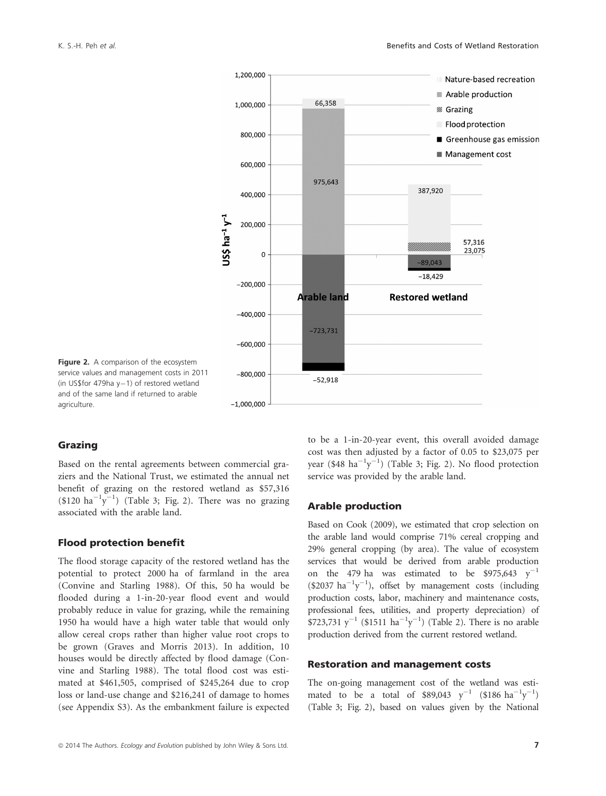

Figure 2. A comparison of the ecosystem service values and management costs in 2011 (in US\$for 479ha y-1) of restored wetland and of the same land if returned to arable agriculture.

### Grazing

Based on the rental agreements between commercial graziers and the National Trust, we estimated the annual net benefit of grazing on the restored wetland as \$57,316  $($120 ha^{-1}y^{-1})$  (Table 3; Fig. 2). There was no grazing associated with the arable land.

### Flood protection benefit

The flood storage capacity of the restored wetland has the potential to protect 2000 ha of farmland in the area (Convine and Starling 1988). Of this, 50 ha would be flooded during a 1-in-20-year flood event and would probably reduce in value for grazing, while the remaining 1950 ha would have a high water table that would only allow cereal crops rather than higher value root crops to be grown (Graves and Morris 2013). In addition, 10 houses would be directly affected by flood damage (Convine and Starling 1988). The total flood cost was estimated at \$461,505, comprised of \$245,264 due to crop loss or land-use change and \$216,241 of damage to homes (see Appendix S3). As the embankment failure is expected to be a 1-in-20-year event, this overall avoided damage cost was then adjusted by a factor of 0.05 to \$23,075 per year (\$48  $\text{ha}^{-1}\text{y}^{-1}$ ) (Table 3; Fig. 2). No flood protection service was provided by the arable land.

### Arable production

Based on Cook (2009), we estimated that crop selection on the arable land would comprise 71% cereal cropping and 29% general cropping (by area). The value of ecosystem services that would be derived from arable production on the 479 ha was estimated to be \$975,643  $v^{-1}$  $(\$2037 \text{ ha}^{-1}\text{y}^{-1})$ , offset by management costs (including production costs, labor, machinery and maintenance costs, professional fees, utilities, and property depreciation) of \$723,731  $y^{-1}$  (\$1511 ha<sup>-1</sup>y<sup>-1</sup>) (Table 2). There is no arable production derived from the current restored wetland.

### Restoration and management costs

The on-going management cost of the wetland was estimated to be a total of \$89,043  $y^{-1}$  (\$186 ha<sup>-1</sup>y<sup>-1</sup>) (Table 3; Fig. 2), based on values given by the National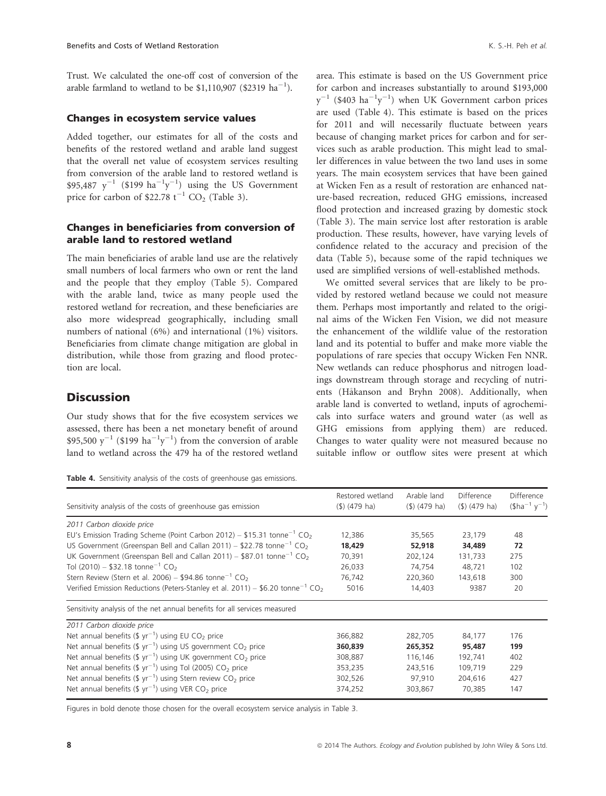Trust. We calculated the one-off cost of conversion of the arable farmland to wetland to be  $$1,110,907$  (\$2319 ha<sup>-1</sup>).

### Changes in ecosystem service values

Added together, our estimates for all of the costs and benefits of the restored wetland and arable land suggest that the overall net value of ecosystem services resulting from conversion of the arable land to restored wetland is \$95,487  $y^{-1}$  (\$199 ha<sup>-1</sup>y<sup>-1</sup>) using the US Government price for carbon of \$22.78  $t^{-1}$  CO<sub>2</sub> (Table 3).

### Changes in beneficiaries from conversion of arable land to restored wetland

The main beneficiaries of arable land use are the relatively small numbers of local farmers who own or rent the land and the people that they employ (Table 5). Compared with the arable land, twice as many people used the restored wetland for recreation, and these beneficiaries are also more widespread geographically, including small numbers of national (6%) and international (1%) visitors. Beneficiaries from climate change mitigation are global in distribution, while those from grazing and flood protection are local.

## **Discussion**

Our study shows that for the five ecosystem services we assessed, there has been a net monetary benefit of around \$95,500  $y^{-1}$  (\$199 ha<sup>-1</sup>y<sup>-1</sup>) from the conversion of arable land to wetland across the 479 ha of the restored wetland

|  |  |  |  |  |  | Table 4. Sensitivity analysis of the costs of greenhouse gas emissions. |  |  |
|--|--|--|--|--|--|-------------------------------------------------------------------------|--|--|
|--|--|--|--|--|--|-------------------------------------------------------------------------|--|--|

area. This estimate is based on the US Government price for carbon and increases substantially to around \$193,000  $y^{-1}$  (\$403 ha $^{-1}y^{-1}$ ) when UK Government carbon prices are used (Table 4). This estimate is based on the prices for 2011 and will necessarily fluctuate between years because of changing market prices for carbon and for services such as arable production. This might lead to smaller differences in value between the two land uses in some years. The main ecosystem services that have been gained at Wicken Fen as a result of restoration are enhanced nature-based recreation, reduced GHG emissions, increased flood protection and increased grazing by domestic stock (Table 3). The main service lost after restoration is arable production. These results, however, have varying levels of confidence related to the accuracy and precision of the data (Table 5), because some of the rapid techniques we used are simplified versions of well-established methods.

We omitted several services that are likely to be provided by restored wetland because we could not measure them. Perhaps most importantly and related to the original aims of the Wicken Fen Vision, we did not measure the enhancement of the wildlife value of the restoration land and its potential to buffer and make more viable the populations of rare species that occupy Wicken Fen NNR. New wetlands can reduce phosphorus and nitrogen loadings downstream through storage and recycling of nutrients (Hakanson and Bryhn 2008). Additionally, when arable land is converted to wetland, inputs of agrochemicals into surface waters and ground water (as well as GHG emissions from applying them) are reduced. Changes to water quality were not measured because no suitable inflow or outflow sites were present at which

| Sensitivity analysis of the costs of greenhouse gas emission                                           | Restored wetland<br>$($ \$) $(479$ ha) | Arable land<br>$($ \$) $(479$ ha) | Difference<br>$($ \$) $(479$ ha) | Difference<br>$(\text{Sha}^{-1} \text{ y}^{-1})$ |
|--------------------------------------------------------------------------------------------------------|----------------------------------------|-----------------------------------|----------------------------------|--------------------------------------------------|
| 2011 Carbon dioxide price                                                                              |                                        |                                   |                                  |                                                  |
| EU's Emission Trading Scheme (Point Carbon 2012) - \$15.31 tonne <sup>-1</sup> CO <sub>2</sub>         | 12,386                                 | 35,565                            | 23,179                           | 48                                               |
| US Government (Greenspan Bell and Callan 2011) - \$22.78 tonne <sup>-1</sup> CO <sub>2</sub>           | 18,429                                 | 52,918                            | 34,489                           | 72                                               |
| UK Government (Greenspan Bell and Callan 2011) - \$87.01 tonne <sup>-1</sup> CO <sub>2</sub>           | 70,391                                 | 202,124                           | 131,733                          | 275                                              |
| Tol (2010) - \$32.18 tonne <sup>-1</sup> CO <sub>2</sub>                                               | 26,033                                 | 74,754                            | 48.721                           | 102                                              |
| Stern Review (Stern et al. 2006) - \$94.86 tonne <sup>-1</sup> CO <sub>2</sub>                         | 76,742                                 | 220,360                           | 143,618                          | 300                                              |
| Verified Emission Reductions (Peters-Stanley et al. 2011) – \$6.20 tonne <sup>-1</sup> CO <sub>2</sub> | 5016                                   | 14,403                            | 9387                             | 20                                               |
| Sensitivity analysis of the net annual benefits for all services measured                              |                                        |                                   |                                  |                                                  |
| 2011 Carbon dioxide price                                                                              |                                        |                                   |                                  |                                                  |
| Net annual benefits ( $\oint yr^{-1}$ ) using EU CO <sub>2</sub> price                                 | 366,882                                | 282,705                           | 84,177                           | 176                                              |
| Net annual benefits ( $\oint yr^{-1}$ ) using US government CO <sub>2</sub> price                      | 360,839                                | 265,352                           | 95,487                           | 199                                              |
| Net annual benefits ( $\oint yr^{-1}$ ) using UK government CO <sub>2</sub> price                      | 308,887                                | 116,146                           | 192,741                          | 402                                              |
| Net annual benefits ( $\frac{1}{2}$ yr <sup>-1</sup> ) using Tol (2005) CO <sub>2</sub> price          | 353,235                                | 243,516                           | 109,719                          | 229                                              |
| Net annual benefits (\$ $yr^{-1}$ ) using Stern review CO <sub>2</sub> price                           | 302,526                                | 97,910                            | 204,616                          | 427                                              |
| Net annual benefits ( $\frac{1}{2}$ yr <sup>-1</sup> ) using VER CO <sub>2</sub> price                 | 374,252                                | 303,867                           | 70,385                           | 147                                              |

Figures in bold denote those chosen for the overall ecosystem service analysis in Table 3.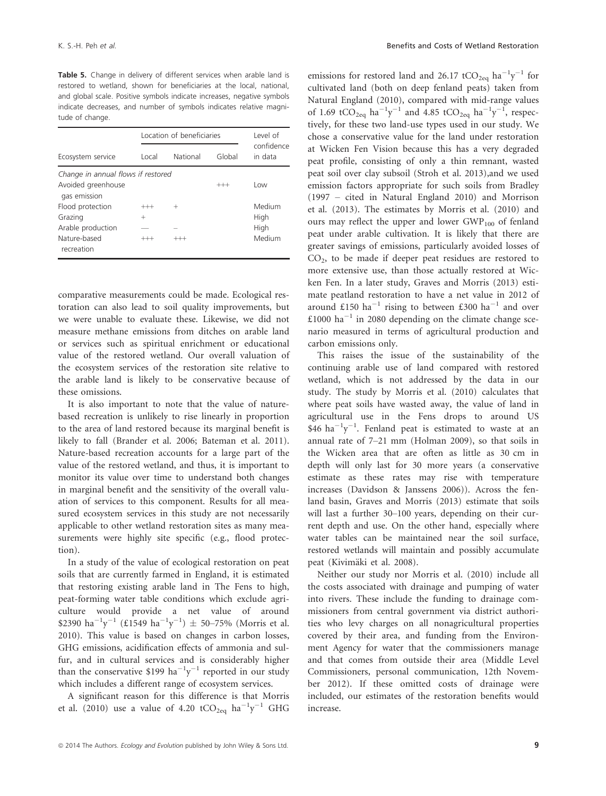Table 5. Change in delivery of different services when arable land is restored to wetland, shown for beneficiaries at the local, national, and global scale. Positive symbols indicate increases, negative symbols indicate decreases, and number of symbols indicates relative magnitude of change.

|                                    | Location of beneficiaries | Level of |          |                       |  |
|------------------------------------|---------------------------|----------|----------|-----------------------|--|
| Ecosystem service                  | Local                     | National | Global   | confidence<br>in data |  |
| Change in annual flows if restored |                           |          |          |                       |  |
| Avoided greenhouse                 |                           |          | $^{+++}$ | Low                   |  |
| gas emission                       |                           |          |          |                       |  |
| Flood protection                   | $^{+++}$                  | $^{+}$   |          | Medium                |  |
| Grazing                            | $\overline{+}$            |          |          | High                  |  |
| Arable production                  |                           |          |          | High                  |  |
| Nature-based                       | $^{+++}$                  |          |          | Medium                |  |
| recreation                         |                           |          |          |                       |  |

comparative measurements could be made. Ecological restoration can also lead to soil quality improvements, but we were unable to evaluate these. Likewise, we did not measure methane emissions from ditches on arable land or services such as spiritual enrichment or educational value of the restored wetland. Our overall valuation of the ecosystem services of the restoration site relative to the arable land is likely to be conservative because of these omissions.

It is also important to note that the value of naturebased recreation is unlikely to rise linearly in proportion to the area of land restored because its marginal benefit is likely to fall (Brander et al. 2006; Bateman et al. 2011). Nature-based recreation accounts for a large part of the value of the restored wetland, and thus, it is important to monitor its value over time to understand both changes in marginal benefit and the sensitivity of the overall valuation of services to this component. Results for all measured ecosystem services in this study are not necessarily applicable to other wetland restoration sites as many measurements were highly site specific (e.g., flood protection).

In a study of the value of ecological restoration on peat soils that are currently farmed in England, it is estimated that restoring existing arable land in The Fens to high, peat-forming water table conditions which exclude agriculture would provide a net value of around \$2390 ha<sup>-1</sup>y<sup>-1</sup> (£1549 ha<sup>-1</sup>y<sup>-1</sup>)  $\pm$  50-75% (Morris et al. 2010). This value is based on changes in carbon losses, GHG emissions, acidification effects of ammonia and sulfur, and in cultural services and is considerably higher than the conservative \$199 ha<sup>-1</sup>y<sup>-1</sup> reported in our study which includes a different range of ecosystem services.

A significant reason for this difference is that Morris et al. (2010) use a value of 4.20 tCO<sub>2eq</sub> ha<sup>-1</sup>y<sup>-1</sup> GHG

emissions for restored land and 26.17 tCO<sub>2eq</sub> ha<sup>-1</sup>y<sup>-1</sup> for cultivated land (both on deep fenland peats) taken from Natural England (2010), compared with mid-range values of 1.69 tCO<sub>2eq</sub> ha<sup>-1</sup>y<sup>-1</sup> and 4.85 tCO<sub>2eq</sub> ha<sup>-1</sup>y<sup>-1</sup>, respectively, for these two land-use types used in our study. We chose a conservative value for the land under restoration at Wicken Fen Vision because this has a very degraded peat profile, consisting of only a thin remnant, wasted peat soil over clay subsoil (Stroh et al. 2013),and we used emission factors appropriate for such soils from Bradley (1997 – cited in Natural England 2010) and Morrison et al. (2013). The estimates by Morris et al. (2010) and ours may reflect the upper and lower  $GWP<sub>100</sub>$  of fenland peat under arable cultivation. It is likely that there are greater savings of emissions, particularly avoided losses of CO2, to be made if deeper peat residues are restored to more extensive use, than those actually restored at Wicken Fen. In a later study, Graves and Morris (2013) estimate peatland restoration to have a net value in 2012 of around £150 ha<sup>-1</sup> rising to between £300 ha<sup>-1</sup> and over £1000 ha<sup>-1</sup> in 2080 depending on the climate change scenario measured in terms of agricultural production and carbon emissions only.

This raises the issue of the sustainability of the continuing arable use of land compared with restored wetland, which is not addressed by the data in our study. The study by Morris et al. (2010) calculates that where peat soils have wasted away, the value of land in agricultural use in the Fens drops to around US  $$46$  ha<sup>-1</sup>y<sup>-1</sup>. Fenland peat is estimated to waste at an annual rate of 7–21 mm (Holman 2009), so that soils in the Wicken area that are often as little as 30 cm in depth will only last for 30 more years (a conservative estimate as these rates may rise with temperature increases (Davidson & Janssens 2006)). Across the fenland basin, Graves and Morris (2013) estimate that soils will last a further 30–100 years, depending on their current depth and use. On the other hand, especially where water tables can be maintained near the soil surface, restored wetlands will maintain and possibly accumulate peat (Kivimäki et al. 2008).

Neither our study nor Morris et al. (2010) include all the costs associated with drainage and pumping of water into rivers. These include the funding to drainage commissioners from central government via district authorities who levy charges on all nonagricultural properties covered by their area, and funding from the Environment Agency for water that the commissioners manage and that comes from outside their area (Middle Level Commissioners, personal communication, 12th November 2012). If these omitted costs of drainage were included, our estimates of the restoration benefits would increase.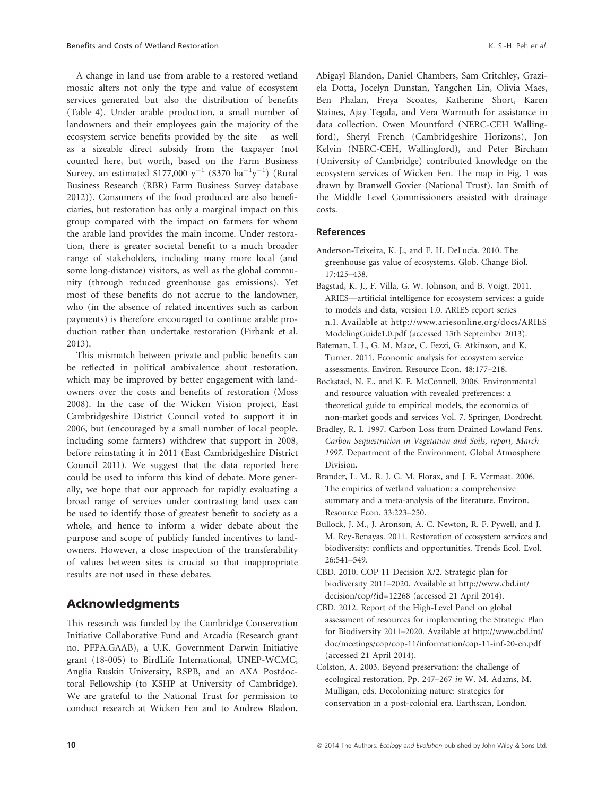A change in land use from arable to a restored wetland mosaic alters not only the type and value of ecosystem services generated but also the distribution of benefits (Table 4). Under arable production, a small number of landowners and their employees gain the majority of the ecosystem service benefits provided by the site – as well as a sizeable direct subsidy from the taxpayer (not counted here, but worth, based on the Farm Business Survey, an estimated \$177,000  $y^{-1}$  (\$370  $ha^{-1}y^{-1}$ ) (Rural Business Research (RBR) Farm Business Survey database 2012)). Consumers of the food produced are also beneficiaries, but restoration has only a marginal impact on this group compared with the impact on farmers for whom the arable land provides the main income. Under restoration, there is greater societal benefit to a much broader range of stakeholders, including many more local (and some long-distance) visitors, as well as the global community (through reduced greenhouse gas emissions). Yet most of these benefits do not accrue to the landowner, who (in the absence of related incentives such as carbon payments) is therefore encouraged to continue arable production rather than undertake restoration (Firbank et al. 2013).

This mismatch between private and public benefits can be reflected in political ambivalence about restoration, which may be improved by better engagement with landowners over the costs and benefits of restoration (Moss 2008). In the case of the Wicken Vision project, East Cambridgeshire District Council voted to support it in 2006, but (encouraged by a small number of local people, including some farmers) withdrew that support in 2008, before reinstating it in 2011 (East Cambridgeshire District Council 2011). We suggest that the data reported here could be used to inform this kind of debate. More generally, we hope that our approach for rapidly evaluating a broad range of services under contrasting land uses can be used to identify those of greatest benefit to society as a whole, and hence to inform a wider debate about the purpose and scope of publicly funded incentives to landowners. However, a close inspection of the transferability of values between sites is crucial so that inappropriate results are not used in these debates.

### Acknowledgments

This research was funded by the Cambridge Conservation Initiative Collaborative Fund and Arcadia (Research grant no. PFPA.GAAB), a U.K. Government Darwin Initiative grant (18-005) to BirdLife International, UNEP-WCMC, Anglia Ruskin University, RSPB, and an AXA Postdoctoral Fellowship (to KSHP at University of Cambridge). We are grateful to the National Trust for permission to conduct research at Wicken Fen and to Andrew Bladon, Abigayl Blandon, Daniel Chambers, Sam Critchley, Graziela Dotta, Jocelyn Dunstan, Yangchen Lin, Olivia Maes, Ben Phalan, Freya Scoates, Katherine Short, Karen Staines, Ajay Tegala, and Vera Warmuth for assistance in data collection. Owen Mountford (NERC-CEH Wallingford), Sheryl French (Cambridgeshire Horizons), Jon Kelvin (NERC-CEH, Wallingford), and Peter Bircham (University of Cambridge) contributed knowledge on the ecosystem services of Wicken Fen. The map in Fig. 1 was drawn by Branwell Govier (National Trust). Ian Smith of the Middle Level Commissioners assisted with drainage costs.

### References

- Anderson-Teixeira, K. J., and E. H. DeLucia. 2010. The greenhouse gas value of ecosystems. Glob. Change Biol. 17:425–438.
- Bagstad, K. J., F. Villa, G. W. Johnson, and B. Voigt. 2011. ARIES—artificial intelligence for ecosystem services: a guide to models and data, version 1.0. ARIES report series n.1. Available at http://www.ariesonline.org/docs/ARIES ModelingGuide1.0.pdf (accessed 13th September 2013).
- Bateman, I. J., G. M. Mace, C. Fezzi, G. Atkinson, and K. Turner. 2011. Economic analysis for ecosystem service assessments. Environ. Resource Econ. 48:177–218.
- Bockstael, N. E., and K. E. McConnell. 2006. Environmental and resource valuation with revealed preferences: a theoretical guide to empirical models, the economics of non-market goods and services Vol. 7. Springer, Dordrecht.
- Bradley, R. I. 1997. Carbon Loss from Drained Lowland Fens. Carbon Sequestration in Vegetation and Soils, report, March 1997. Department of the Environment, Global Atmosphere Division.
- Brander, L. M., R. J. G. M. Florax, and J. E. Vermaat. 2006. The empirics of wetland valuation: a comprehensive summary and a meta-analysis of the literature. Environ. Resource Econ. 33:223–250.
- Bullock, J. M., J. Aronson, A. C. Newton, R. F. Pywell, and J. M. Rey-Benayas. 2011. Restoration of ecosystem services and biodiversity: conflicts and opportunities. Trends Ecol. Evol. 26:541–549.
- CBD. 2010. COP 11 Decision X/2. Strategic plan for biodiversity 2011–2020. Available at http://www.cbd.int/ decision/cop/?id=12268 (accessed 21 April 2014).
- CBD. 2012. Report of the High-Level Panel on global assessment of resources for implementing the Strategic Plan for Biodiversity 2011–2020. Available at http://www.cbd.int/ doc/meetings/cop/cop-11/information/cop-11-inf-20-en.pdf (accessed 21 April 2014).
- Colston, A. 2003. Beyond preservation: the challenge of ecological restoration. Pp. 247–267 in W. M. Adams, M. Mulligan, eds. Decolonizing nature: strategies for conservation in a post-colonial era. Earthscan, London.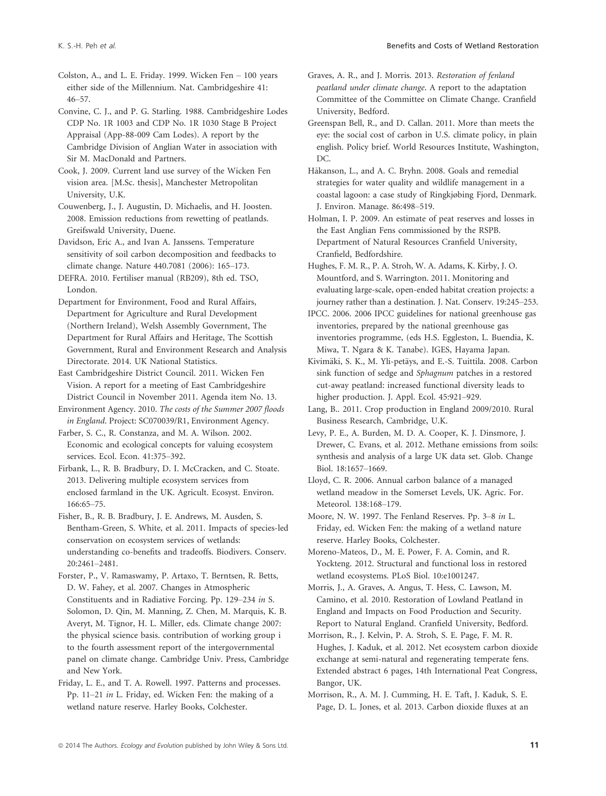Colston, A., and L. E. Friday. 1999. Wicken Fen – 100 years either side of the Millennium. Nat. Cambridgeshire 41: 46–57.

Convine, C. J., and P. G. Starling. 1988. Cambridgeshire Lodes CDP No. 1R 1003 and CDP No. 1R 1030 Stage B Project Appraisal (App-88-009 Cam Lodes). A report by the Cambridge Division of Anglian Water in association with Sir M. MacDonald and Partners.

Cook, J. 2009. Current land use survey of the Wicken Fen vision area. [M.Sc. thesis], Manchester Metropolitan University, U.K.

Couwenberg, J., J. Augustin, D. Michaelis, and H. Joosten. 2008. Emission reductions from rewetting of peatlands. Greifswald University, Duene.

Davidson, Eric A., and Ivan A. Janssens. Temperature sensitivity of soil carbon decomposition and feedbacks to climate change. Nature 440.7081 (2006): 165–173.

DEFRA. 2010. Fertiliser manual (RB209), 8th ed. TSO, London.

Department for Environment, Food and Rural Affairs, Department for Agriculture and Rural Development (Northern Ireland), Welsh Assembly Government, The Department for Rural Affairs and Heritage, The Scottish Government, Rural and Environment Research and Analysis Directorate. 2014. UK National Statistics.

East Cambridgeshire District Council. 2011. Wicken Fen Vision. A report for a meeting of East Cambridgeshire District Council in November 2011. Agenda item No. 13.

Environment Agency. 2010. The costs of the Summer 2007 floods in England. Project: SC070039/R1, Environment Agency.

Farber, S. C., R. Constanza, and M. A. Wilson. 2002. Economic and ecological concepts for valuing ecosystem services. Ecol. Econ. 41:375–392.

Firbank, L., R. B. Bradbury, D. I. McCracken, and C. Stoate. 2013. Delivering multiple ecosystem services from enclosed farmland in the UK. Agricult. Ecosyst. Environ. 166:65–75.

Fisher, B., R. B. Bradbury, J. E. Andrews, M. Ausden, S. Bentham-Green, S. White, et al. 2011. Impacts of species-led conservation on ecosystem services of wetlands: understanding co-benefits and tradeoffs. Biodivers. Conserv. 20:2461–2481.

Forster, P., V. Ramaswamy, P. Artaxo, T. Berntsen, R. Betts, D. W. Fahey, et al. 2007. Changes in Atmospheric Constituents and in Radiative Forcing. Pp. 129–234 in S. Solomon, D. Qin, M. Manning, Z. Chen, M. Marquis, K. B. Averyt, M. Tignor, H. L. Miller, eds. Climate change 2007: the physical science basis. contribution of working group i to the fourth assessment report of the intergovernmental panel on climate change. Cambridge Univ. Press, Cambridge and New York.

Friday, L. E., and T. A. Rowell. 1997. Patterns and processes. Pp. 11–21 in L. Friday, ed. Wicken Fen: the making of a wetland nature reserve. Harley Books, Colchester.

Graves, A. R., and J. Morris. 2013. Restoration of fenland peatland under climate change. A report to the adaptation Committee of the Committee on Climate Change. Cranfield University, Bedford.

Greenspan Bell, R., and D. Callan. 2011. More than meets the eye: the social cost of carbon in U.S. climate policy, in plain english. Policy brief. World Resources Institute, Washington, DC.

Hakanson, L., and A. C. Bryhn. 2008. Goals and remedial strategies for water quality and wildlife management in a coastal lagoon: a case study of Ringkjøbing Fjord, Denmark. J. Environ. Manage. 86:498–519.

Holman, I. P. 2009. An estimate of peat reserves and losses in the East Anglian Fens commissioned by the RSPB. Department of Natural Resources Cranfield University, Cranfield, Bedfordshire.

Hughes, F. M. R., P. A. Stroh, W. A. Adams, K. Kirby, J. O. Mountford, and S. Warrington. 2011. Monitoring and evaluating large-scale, open-ended habitat creation projects: a journey rather than a destination. J. Nat. Conserv. 19:245–253.

IPCC. 2006. 2006 IPCC guidelines for national greenhouse gas inventories, prepared by the national greenhouse gas inventories programme, (eds H.S. Eggleston, L. Buendia, K. Miwa, T. Ngara & K. Tanabe). IGES, Hayama Japan.

Kivimäki, S. K., M. Yli-petäys, and E.-S. Tuittila. 2008. Carbon sink function of sedge and Sphagnum patches in a restored cut-away peatland: increased functional diversity leads to higher production. J. Appl. Ecol. 45:921–929.

Lang, B.. 2011. Crop production in England 2009/2010. Rural Business Research, Cambridge, U.K.

Levy, P. E., A. Burden, M. D. A. Cooper, K. J. Dinsmore, J. Drewer, C. Evans, et al. 2012. Methane emissions from soils: synthesis and analysis of a large UK data set. Glob. Change Biol. 18:1657–1669.

Lloyd, C. R. 2006. Annual carbon balance of a managed wetland meadow in the Somerset Levels, UK. Agric. For. Meteorol. 138:168–179.

Moore, N. W. 1997. The Fenland Reserves. Pp. 3–8 in L. Friday, ed. Wicken Fen: the making of a wetland nature reserve. Harley Books, Colchester.

Moreno-Mateos, D., M. E. Power, F. A. Comin, and R. Yockteng. 2012. Structural and functional loss in restored wetland ecosystems. PLoS Biol. 10:e1001247.

Morris, J., A. Graves, A. Angus, T. Hess, C. Lawson, M. Camino, et al. 2010. Restoration of Lowland Peatland in England and Impacts on Food Production and Security. Report to Natural England. Cranfield University, Bedford.

Morrison, R., J. Kelvin, P. A. Stroh, S. E. Page, F. M. R. Hughes, J. Kaduk, et al. 2012. Net ecosystem carbon dioxide exchange at semi-natural and regenerating temperate fens. Extended abstract 6 pages, 14th International Peat Congress, Bangor, UK.

Morrison, R., A. M. J. Cumming, H. E. Taft, J. Kaduk, S. E. Page, D. L. Jones, et al. 2013. Carbon dioxide fluxes at an